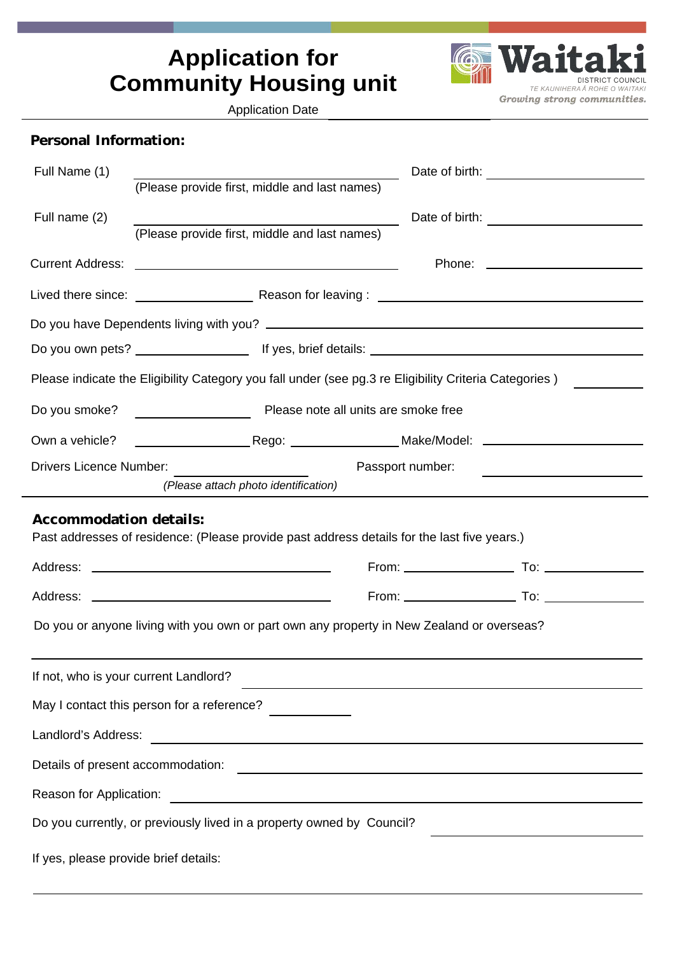# **Application for Community Housing unit**

**G Waita DISTRICT COUNCIL** TE KAUNIHERA À ROHE O WAITAKI Growing strong communities.

Application Date

| Personal Information:                                                                                                                                     |                                                                                                                |                                                                                                                  |  |  |
|-----------------------------------------------------------------------------------------------------------------------------------------------------------|----------------------------------------------------------------------------------------------------------------|------------------------------------------------------------------------------------------------------------------|--|--|
| Full Name (1)                                                                                                                                             | (Please provide first, middle and last names)                                                                  |                                                                                                                  |  |  |
| Full name (2)                                                                                                                                             | (Please provide first, middle and last names)                                                                  |                                                                                                                  |  |  |
|                                                                                                                                                           |                                                                                                                |                                                                                                                  |  |  |
|                                                                                                                                                           |                                                                                                                |                                                                                                                  |  |  |
|                                                                                                                                                           |                                                                                                                |                                                                                                                  |  |  |
|                                                                                                                                                           | Do you own pets? ___________________________________tf yes, brief details: ___________________________________ |                                                                                                                  |  |  |
|                                                                                                                                                           | Please indicate the Eligibility Category you fall under (see pg.3 re Eligibility Criteria Categories)          |                                                                                                                  |  |  |
| Do you smoke?                                                                                                                                             | Please note all units are smoke free                                                                           |                                                                                                                  |  |  |
|                                                                                                                                                           |                                                                                                                |                                                                                                                  |  |  |
| <b>Drivers Licence Number:</b>                                                                                                                            | (Please attach photo identification)                                                                           | Passport number:                                                                                                 |  |  |
| Accommodation details:                                                                                                                                    | Past addresses of residence: (Please provide past address details for the last five years.)                    |                                                                                                                  |  |  |
| Do you or anyone living with you own or part own any property in New Zealand or overseas?                                                                 |                                                                                                                |                                                                                                                  |  |  |
|                                                                                                                                                           | If not, who is your current Landlord?                                                                          | and the control of the control of the control of the control of the control of the control of the control of the |  |  |
| May I contact this person for a reference?                                                                                                                |                                                                                                                |                                                                                                                  |  |  |
| Landlord's Address:<br><u> 1980 - Johann Barbara, martxa alemaniar argumento este alemaniar alemaniar alemaniar alemaniar alemaniar al</u>                |                                                                                                                |                                                                                                                  |  |  |
| Details of present accommodation:<br><u> Alexandria de la contrada de la contrada de la contrada de la contrada de la contrada de la contrada de la c</u> |                                                                                                                |                                                                                                                  |  |  |
| Reason for Application:<br><u> 1989 - Johann Barn, mars ann an t-Amhain Aonaich an t-Aonaich an t-Aonaich ann an t-Aonaich ann an t-Aonaich</u>           |                                                                                                                |                                                                                                                  |  |  |
| Do you currently, or previously lived in a property owned by Council?                                                                                     |                                                                                                                |                                                                                                                  |  |  |
| If yes, please provide brief details:                                                                                                                     |                                                                                                                |                                                                                                                  |  |  |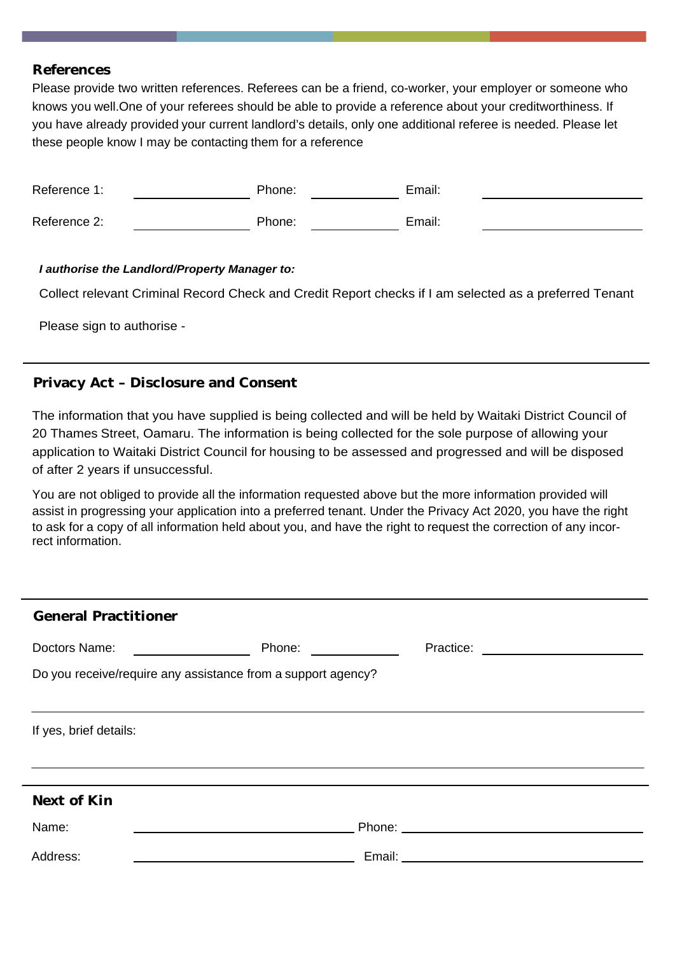### **References**

Please provide two written references. Referees can be a friend, co-worker, your employer or someone who knows you well.One of your referees should be able to provide a reference about your creditworthiness. If you have already provided your current landlord's details, only one additional referee is needed. Please let these people know I may be contacting them for a reference

| Reference 1: | Phone: | Email: |  |
|--------------|--------|--------|--|
| Reference 2: | Phone: | Email: |  |

### *I authorise the Landlord/Property Manager to:*

Collect relevant Criminal Record Check and Credit Report checks if I am selected as a preferred Tenant

Please sign to authorise -

## **Privacy Act – Disclosure and Consent**

The information that you have supplied is being collected and will be held by Waitaki District Council of 20 Thames Street, Oamaru. The information is being collected for the sole purpose of allowing your application to Waitaki District Council for housing to be assessed and progressed and will be disposed of after 2 years if unsuccessful.

You are not obliged to provide all the information requested above but the more information provided will assist in progressing your application into a preferred tenant. Under the Privacy Act 2020, you have the right to ask for a copy of all information held about you, and have the right to request the correction of any incorrect information.

| <b>General Practitioner</b>                                                                                                                                                                                                                           |        |                                                                                                                |  |  |  |
|-------------------------------------------------------------------------------------------------------------------------------------------------------------------------------------------------------------------------------------------------------|--------|----------------------------------------------------------------------------------------------------------------|--|--|--|
| Doctors Name:<br><u> 1990 - Jan Stein Stein Stein Stein Stein Stein Stein Stein Stein Stein Stein Stein Stein Stein Stein Stein Stein Stein Stein Stein Stein Stein Stein Stein Stein Stein Stein Stein Stein Stein Stein Stein Stein Stein Stein</u> | Phone: | Practice: <u>_______________________</u>                                                                       |  |  |  |
| Do you receive/require any assistance from a support agency?                                                                                                                                                                                          |        |                                                                                                                |  |  |  |
|                                                                                                                                                                                                                                                       |        |                                                                                                                |  |  |  |
| If yes, brief details:                                                                                                                                                                                                                                |        |                                                                                                                |  |  |  |
|                                                                                                                                                                                                                                                       |        |                                                                                                                |  |  |  |
| Next of Kin                                                                                                                                                                                                                                           |        |                                                                                                                |  |  |  |
|                                                                                                                                                                                                                                                       |        |                                                                                                                |  |  |  |
| Name:                                                                                                                                                                                                                                                 |        |                                                                                                                |  |  |  |
| Address:                                                                                                                                                                                                                                              |        | Email: University of the University of the University of the University of the University of the University of |  |  |  |